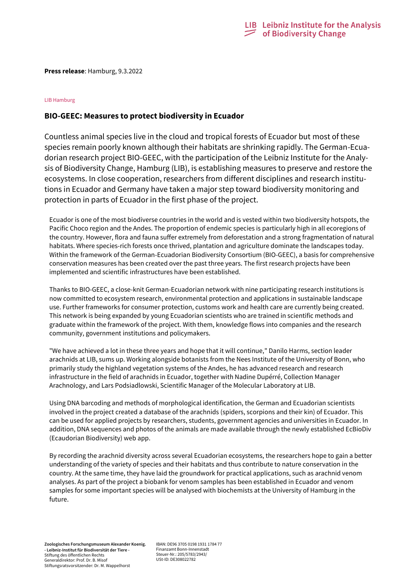

**Press release**: Hamburg, 9.3.2022

## LIB Hamburg

# **BIO-GEEC: Measures to protect biodiversity in Ecuador**

Countless animal species live in the cloud and tropical forests of Ecuador but most of these species remain poorly known although their habitats are shrinking rapidly. The German-Ecuadorian research project BIO-GEEC, with the participation of the Leibniz Institute for the Analysis of Biodiversity Change, Hamburg (LIB), is establishing measures to preserve and restore the ecosystems. In close cooperation, researchers from different disciplines and research institutions in Ecuador and Germany have taken a major step toward biodiversity monitoring and protection in parts of Ecuador in the first phase of the project.

Ecuador is one of the most biodiverse countries in the world and is vested within two biodiversity hotspots, the Pacific Choco region and the Andes. The proportion of endemic species is particularly high in all ecoregions of the country. However, flora and fauna suffer extremely from deforestation and a strong fragmentation of natural habitats. Where species-rich forests once thrived, plantation and agriculture dominate the landscapes today. Within the framework of the German-Ecuadorian Biodiversity Consortium (BIO-GEEC), a basis for comprehensive conservation measures has been created over the past three years. The first research projects have been implemented and scientific infrastructures have been established.

Thanks to BIO-GEEC, a close-knit German-Ecuadorian network with nine participating research institutions is now committed to ecosystem research, environmental protection and applications in sustainable landscape use. Further frameworks for consumer protection, customs work and health care are currently being created. This network is being expanded by young Ecuadorian scientists who are trained in scientific methods and graduate within the framework of the project. With them, knowledge flows into companies and the research community, government institutions and policymakers.

"We have achieved a lot in these three years and hope that it will continue," Danilo Harms, section leader arachnids at LIB, sums up. Working alongside botanists from the Nees Institute of the University of Bonn, who primarily study the highland vegetation systems of the Andes, he has advanced research and research infrastructure in the field of arachnids in Ecuador, together with Nadine Dupérré, Collection Manager Arachnology, and Lars Podsiadlowski, Scientific Manager of the Molecular Laboratory at LIB.

Using DNA barcoding and methods of morphological identification, the German and Ecuadorian scientists involved in the project created a database of the arachnids (spiders, scorpions and their kin) of Ecuador. This can be used for applied projects by researchers, students, government agencies and universities in Ecuador. In addition, DNA sequences and photos of the animals are made available through the newly established EcBioDiv (Ecaudorian Biodiversity) web app.

By recording the arachnid diversity across several Ecuadorian ecosystems, the researchers hope to gain a better understanding of the variety of species and their habitats and thus contribute to nature conservation in the country. At the same time, they have laid the groundwork for practical applications, such as arachnid venom analyses. As part of the project a biobank for venom samples has been established in Ecuador and venom samples for some important species will be analysed with biochemists at the University of Hamburg in the future.

IBAN: DE96 3705 0198 1931 1784 77 Finanzamt Bonn-Innenstadt Steuer-Nr.: 205/5783/2943/ USt-ID: DE308022782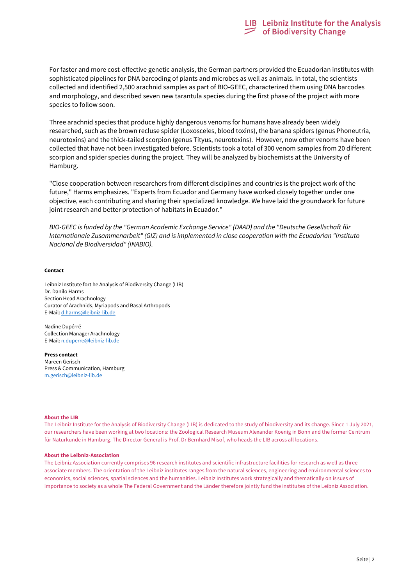For faster and more cost-effective genetic analysis, the German partners provided the Ecuadorian institutes with sophisticated pipelines for DNA barcoding of plants and microbes as well as animals. In total, the scientists collected and identified 2,500 arachnid samples as part of BIO-GEEC, characterized them using DNA barcodes and morphology, and described seven new tarantula species during the first phase of the project with more species to follow soon.

Three arachnid species that produce highly dangerous venoms for humans have already been widely researched, such as the brown recluse spider (Loxosceles, blood toxins), the banana spiders (genus Phoneutria, neurotoxins) and the thick-tailed scorpion (genus Tityus, neurotoxins). However, now other venoms have been collected that have not been investigated before. Scientists took a total of 300 venom samples from 20 different scorpion and spider species during the project. They will be analyzed by biochemists at the University of Hamburg.

"Close cooperation between researchers from different disciplines and countries is the project work of the future," Harms emphasizes. "Experts from Ecuador and Germany have worked closely together under one objective, each contributing and sharing their specialized knowledge. We have laid the groundwork for future joint research and better protection of habitats in Ecuador."

*BIO-GEEC is funded by the "German Academic Exchange Service" (DAAD) and the "Deutsche Gesellschaft für Internationale Zusammenarbeit" (GIZ) and is implemented in close cooperation with the Ecuadorian "Instituto Nacional de Biodiversidad" (INABIO).*

## **Contact**

Leibniz Institute fort he Analysis of Biodiversity Change (LIB) Dr. Danilo Harms Section Head Arachnology Curator of Arachnids, Myriapods and Basal Arthropods E-Mail: [d.harms@leibniz-lib.de](mailto:d.harms@leibniz-lib.de)

Nadine Dupérré Collection Manager Arachnology E-Mail[: n.duperre@leibniz-lib.de](mailto:n.duperre@leibniz-lib.de)

**Press contact** Mareen Gerisch Press & Communication, Hamburg [m.gerisch@leibniz-lib.de](mailto:m.gerisch@leibniz-lib.de)

### **About the LIB**

The Leibniz Institute for the Analysis of Biodiversity Change (LIB) is dedicated to the study of biodiversity and its change. Since 1 July 2021, our researchers have been working at two locations: the Zoological Research Museum Alexander Koenig in Bonn and the former Ce ntrum für Naturkunde in Hamburg. The Director General is Prof. Dr Bernhard Misof, who heads the LIB across all locations.

### **About the Leibniz-Association**

The Leibniz Association currently comprises 96 research institutes and scientific infrastructure facilities for research as well as three associate members. The orientation of the Leibniz institutes ranges from the natural sciences, engineering and environmental sciences to economics, social sciences, spatial sciences and the humanities. Leibniz Institutes work strategically and thematically on is sues of importance to society as a whole The Federal Government and the Länder therefore jointly fund the institutes of the Leibniz Association.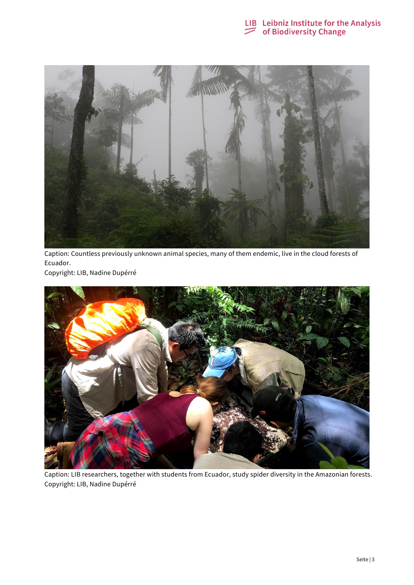



Caption: Countless previously unknown animal species, many of them endemic, live in the cloud forests of Ecuador.

Copyright: LIB, Nadine Dupérré



Caption: LIB researchers, together with students from Ecuador, study spider diversity in the Amazonian forests. Copyright: LIB, Nadine Dupérré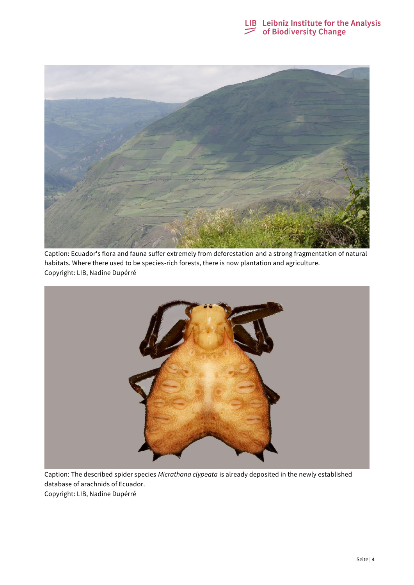



Caption: Ecuador's flora and fauna suffer extremely from deforestation and a strong fragmentation of natural habitats. Where there used to be species-rich forests, there is now plantation and agriculture. Copyright: LIB, Nadine Dupérré



Caption: The described spider species *Micrathana clypeata* is already deposited in the newly established database of arachnids of Ecuador. Copyright: LIB, Nadine Dupérré